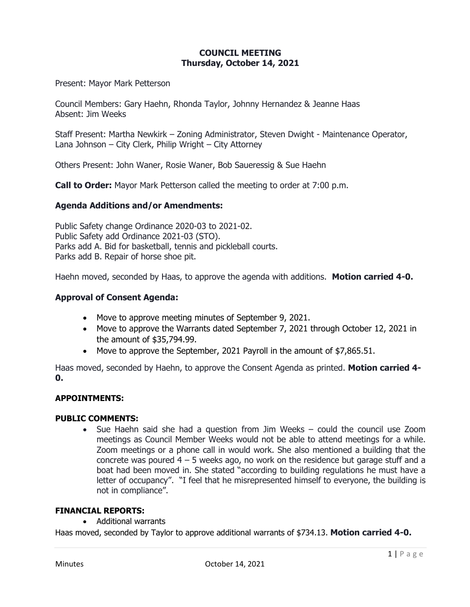# **COUNCIL MEETING Thursday, October 14, 2021**

Present: Mayor Mark Petterson

Council Members: Gary Haehn, Rhonda Taylor, Johnny Hernandez & Jeanne Haas Absent: Jim Weeks

Staff Present: Martha Newkirk – Zoning Administrator, Steven Dwight - Maintenance Operator, Lana Johnson – City Clerk, Philip Wright – City Attorney

Others Present: John Waner, Rosie Waner, Bob Saueressig & Sue Haehn

**Call to Order:** Mayor Mark Petterson called the meeting to order at 7:00 p.m.

### **Agenda Additions and/or Amendments:**

Public Safety change Ordinance 2020-03 to 2021-02. Public Safety add Ordinance 2021-03 (STO). Parks add A. Bid for basketball, tennis and pickleball courts. Parks add B. Repair of horse shoe pit.

Haehn moved, seconded by Haas, to approve the agenda with additions. **Motion carried 4-0.**

### **Approval of Consent Agenda:**

- Move to approve meeting minutes of September 9, 2021.
- Move to approve the Warrants dated September 7, 2021 through October 12, 2021 in the amount of \$35,794.99.
- Move to approve the September, 2021 Payroll in the amount of \$7,865.51.

Haas moved, seconded by Haehn, to approve the Consent Agenda as printed. **Motion carried 4- 0.**

#### **APPOINTMENTS:**

#### **PUBLIC COMMENTS:**

• Sue Haehn said she had a question from Jim Weeks – could the council use Zoom meetings as Council Member Weeks would not be able to attend meetings for a while. Zoom meetings or a phone call in would work. She also mentioned a building that the concrete was poured  $4 - 5$  weeks ago, no work on the residence but garage stuff and a boat had been moved in. She stated "according to building regulations he must have a letter of occupancy". "I feel that he misrepresented himself to everyone, the building is not in compliance".

## **FINANCIAL REPORTS:**

• Additional warrants

Haas moved, seconded by Taylor to approve additional warrants of \$734.13. **Motion carried 4-0.**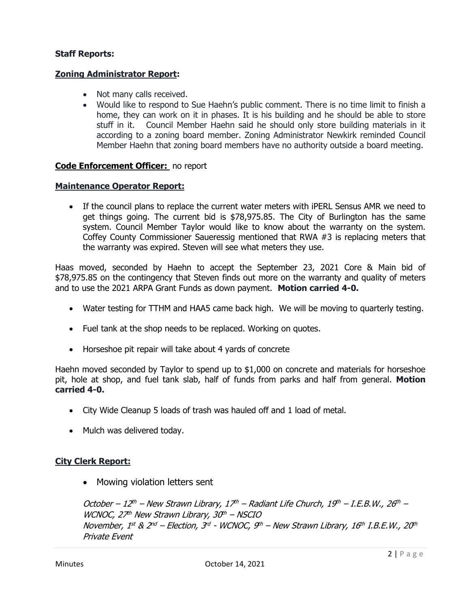# **Staff Reports:**

# **Zoning Administrator Report:**

- Not many calls received.
- Would like to respond to Sue Haehn's public comment. There is no time limit to finish a home, they can work on it in phases. It is his building and he should be able to store stuff in it. Council Member Haehn said he should only store building materials in it according to a zoning board member. Zoning Administrator Newkirk reminded Council Member Haehn that zoning board members have no authority outside a board meeting.

# **Code Enforcement Officer:** no report

### **Maintenance Operator Report:**

• If the council plans to replace the current water meters with iPERL Sensus AMR we need to get things going. The current bid is \$78,975.85. The City of Burlington has the same system. Council Member Taylor would like to know about the warranty on the system. Coffey County Commissioner Saueressig mentioned that RWA #3 is replacing meters that the warranty was expired. Steven will see what meters they use.

Haas moved, seconded by Haehn to accept the September 23, 2021 Core & Main bid of \$78,975.85 on the contingency that Steven finds out more on the warranty and quality of meters and to use the 2021 ARPA Grant Funds as down payment. **Motion carried 4-0.**

- Water testing for TTHM and HAA5 came back high. We will be moving to quarterly testing.
- Fuel tank at the shop needs to be replaced. Working on quotes.
- Horseshoe pit repair will take about 4 yards of concrete

Haehn moved seconded by Taylor to spend up to \$1,000 on concrete and materials for horseshoe pit, hole at shop, and fuel tank slab, half of funds from parks and half from general. **Motion carried 4-0.**

- City Wide Cleanup 5 loads of trash was hauled off and 1 load of metal.
- Mulch was delivered today.

# **City Clerk Report:**

• Mowing violation letters sent

October – 12th – New Strawn Library, 17th – Radiant Life Church, 19th – I.E.B.W., 26th – WCNOC,  $27<sup>th</sup>$  New Strawn Library,  $30<sup>th</sup>$  – NSCIO November, 1st & 2nd – Election, 3rd - WCNOC, 9th – New Strawn Library, 16th I.B.E.W., 20th Private Event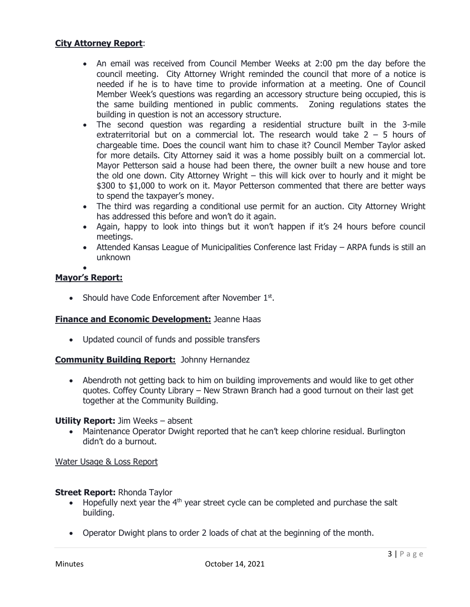## **City Attorney Report**:

- An email was received from Council Member Weeks at 2:00 pm the day before the council meeting. City Attorney Wright reminded the council that more of a notice is needed if he is to have time to provide information at a meeting. One of Council Member Week's questions was regarding an accessory structure being occupied, this is the same building mentioned in public comments. Zoning regulations states the building in question is not an accessory structure.
- The second question was regarding a residential structure built in the 3-mile extraterritorial but on a commercial lot. The research would take  $2 - 5$  hours of chargeable time. Does the council want him to chase it? Council Member Taylor asked for more details. City Attorney said it was a home possibly built on a commercial lot. Mayor Petterson said a house had been there, the owner built a new house and tore the old one down. City Attorney Wright – this will kick over to hourly and it might be \$300 to \$1,000 to work on it. Mayor Petterson commented that there are better ways to spend the taxpayer's money.
- The third was regarding a conditional use permit for an auction. City Attorney Wright has addressed this before and won't do it again.
- Again, happy to look into things but it won't happen if it's 24 hours before council meetings.
- Attended Kansas League of Municipalities Conference last Friday ARPA funds is still an unknown

#### • **Mayor's Report:**

• Should have Code Enforcement after November 1st.

### **Finance and Economic Development:** Jeanne Haas

• Updated council of funds and possible transfers

### **Community Building Report:** Johnny Hernandez

• Abendroth not getting back to him on building improvements and would like to get other quotes. Coffey County Library – New Strawn Branch had a good turnout on their last get together at the Community Building.

#### **Utility Report:** Jim Weeks – absent

• Maintenance Operator Dwight reported that he can't keep chlorine residual. Burlington didn't do a burnout.

### Water Usage & Loss Report

### **Street Report:** Rhonda Taylor

- Hopefully next year the  $4<sup>th</sup>$  year street cycle can be completed and purchase the salt building.
- Operator Dwight plans to order 2 loads of chat at the beginning of the month.